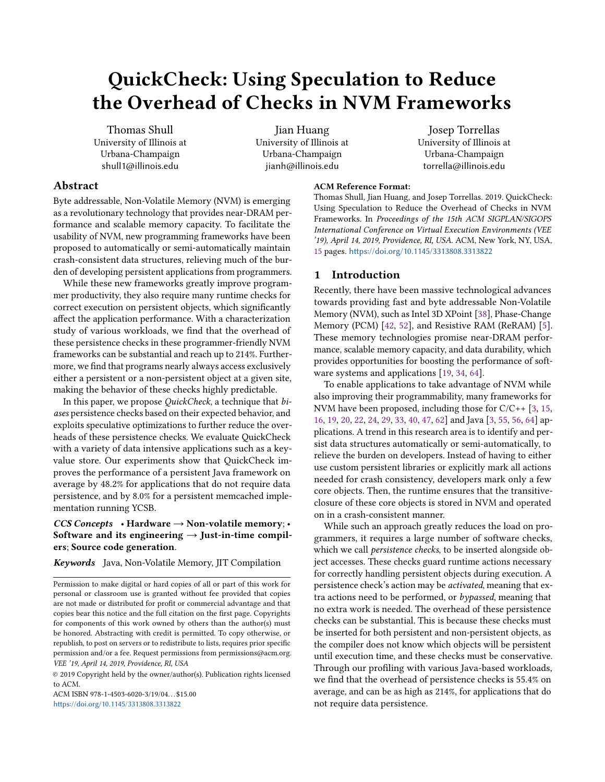# QuickCheck: Using Speculation to Reduce the Overhead of Checks in NVM Frameworks

Thomas Shull University of Illinois at Urbana-Champaign shull1@illinois.edu

Jian Huang University of Illinois at Urbana-Champaign jianh@illinois.edu

# Abstract

Byte addressable, Non-Volatile Memory (NVM) is emerging as a revolutionary technology that provides near-DRAM performance and scalable memory capacity. To facilitate the usability of NVM, new programming frameworks have been proposed to automatically or semi-automatically maintain crash-consistent data structures, relieving much of the burden of developing persistent applications from programmers.

While these new frameworks greatly improve programmer productivity, they also require many runtime checks for correct execution on persistent objects, which significantly affect the application performance. With a characterization study of various workloads, we find that the overhead of these persistence checks in these programmer-friendly NVM frameworks can be substantial and reach up to 214%. Furthermore, we find that programs nearly always access exclusively either a persistent or a non-persistent object at a given site, making the behavior of these checks highly predictable.

In this paper, we propose QuickCheck, a technique that biases persistence checks based on their expected behavior, and exploits speculative optimizations to further reduce the overheads of these persistence checks. We evaluate QuickCheck with a variety of data intensive applications such as a keyvalue store. Our experiments show that QuickCheck improves the performance of a persistent Java framework on average by 48.2% for applications that do not require data persistence, and by 8.0% for a persistent memcached implementation running YCSB.

## $CCS$  Concepts • Hardware  $\rightarrow$  Non-volatile memory; • Software and its engineering  $\rightarrow$  Just-in-time compilers; Source code generation.

#### Keywords Java, Non-Volatile Memory, JIT Compilation

ACM ISBN 978-1-4503-6020-3/19/04... \$15.00 <https://doi.org/10.1145/3313808.3313822>

#### ACM Reference Format:

Thomas Shull, Jian Huang, and Josep Torrellas. 2019. QuickCheck: Using Speculation to Reduce the Overhead of Checks in NVM Frameworks. In Proceedings of the 15th ACM SIGPLAN/SIGOPS International Conference on Virtual Execution Environments (VEE '19), April 14, 2019, Providence, RI, USA. ACM, New York, NY, USA, [15](#page-14-0) pages. <https://doi.org/10.1145/3313808.3313822>

Josep Torrellas University of Illinois at Urbana-Champaign torrella@illinois.edu

# 1 Introduction

Recently, there have been massive technological advances towards providing fast and byte addressable Non-Volatile Memory (NVM), such as Intel 3D XPoint [\[38\]](#page-13-0), Phase-Change Memory (PCM) [\[42,](#page-13-1) [52\]](#page-13-2), and Resistive RAM (ReRAM) [\[5\]](#page-12-0). These memory technologies promise near-DRAM performance, scalable memory capacity, and data durability, which provides opportunities for boosting the performance of software systems and applications [\[19,](#page-12-1) [34,](#page-13-3) [64\]](#page-14-1).

To enable applications to take advantage of NVM while also improving their programmability, many frameworks for NVM have been proposed, including those for C/C++ [\[3,](#page-11-0) [15,](#page-12-2) [16,](#page-12-3) [19,](#page-12-1) [20,](#page-12-4) [22,](#page-12-5) [24,](#page-12-6) [29,](#page-12-7) [33,](#page-13-4) [40,](#page-13-5) [47,](#page-13-6) [62\]](#page-14-2) and Java [\[3,](#page-11-0) [55,](#page-13-7) [56,](#page-13-8) [64\]](#page-14-1) applications. A trend in this research area is to identify and persist data structures automatically or semi-automatically, to relieve the burden on developers. Instead of having to either use custom persistent libraries or explicitly mark all actions needed for crash consistency, developers mark only a few core objects. Then, the runtime ensures that the transitiveclosure of these core objects is stored in NVM and operated on in a crash-consistent manner.

While such an approach greatly reduces the load on programmers, it requires a large number of software checks, which we call persistence checks, to be inserted alongside object accesses. These checks guard runtime actions necessary for correctly handling persistent objects during execution. A persistence check's action may be activated, meaning that extra actions need to be performed, or bypassed, meaning that no extra work is needed. The overhead of these persistence checks can be substantial. This is because these checks must be inserted for both persistent and non-persistent objects, as the compiler does not know which objects will be persistent until execution time, and these checks must be conservative. Through our profiling with various Java-based workloads, we find that the overhead of persistence checks is 55.4% on average, and can be as high as 214%, for applications that do not require data persistence.

Permission to make digital or hard copies of all or part of this work for personal or classroom use is granted without fee provided that copies are not made or distributed for profit or commercial advantage and that copies bear this notice and the full citation on the first page. Copyrights for components of this work owned by others than the author(s) must be honored. Abstracting with credit is permitted. To copy otherwise, or republish, to post on servers or to redistribute to lists, requires prior specific permission and/or a fee. Request permissions from permissions@acm.org. VEE '19, April 14, 2019, Providence, RI, USA

<sup>©</sup> 2019 Copyright held by the owner/author(s). Publication rights licensed to ACM.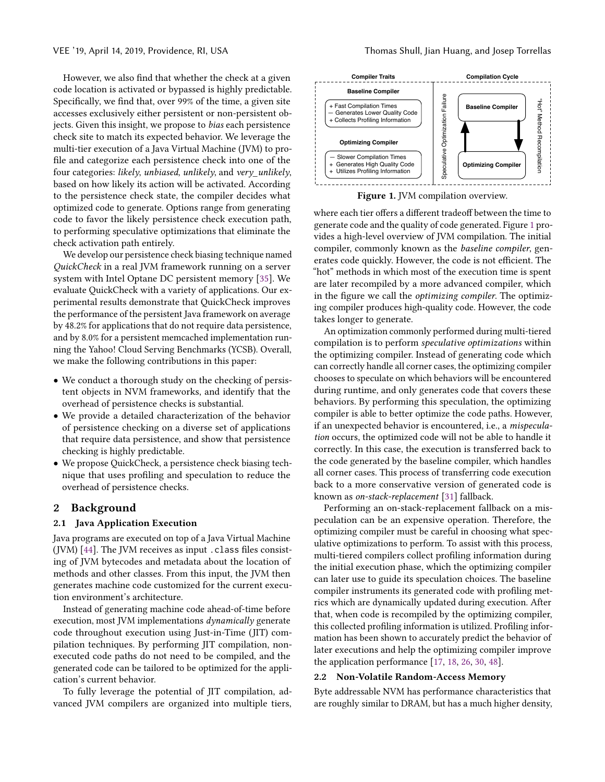However, we also find that whether the check at a given code location is activated or bypassed is highly predictable. Specifically, we find that, over 99% of the time, a given site accesses exclusively either persistent or non-persistent objects. Given this insight, we propose to bias each persistence check site to match its expected behavior. We leverage the multi-tier execution of a Java Virtual Machine (JVM) to profile and categorize each persistence check into one of the four categories: likely, unbiased, unlikely, and very\_unlikely, based on how likely its action will be activated. According to the persistence check state, the compiler decides what optimized code to generate. Options range from generating code to favor the likely persistence check execution path, to performing speculative optimizations that eliminate the check activation path entirely.

We develop our persistence check biasing technique named QuickCheck in a real JVM framework running on a server system with Intel Optane DC persistent memory [\[35\]](#page-13-9). We evaluate QuickCheck with a variety of applications. Our experimental results demonstrate that QuickCheck improves the performance of the persistent Java framework on average by 48.2% for applications that do not require data persistence, and by 8.0% for a persistent memcached implementation running the Yahoo! Cloud Serving Benchmarks (YCSB). Overall, we make the following contributions in this paper:

- We conduct a thorough study on the checking of persistent objects in NVM frameworks, and identify that the overhead of persistence checks is substantial.
- We provide a detailed characterization of the behavior of persistence checking on a diverse set of applications that require data persistence, and show that persistence checking is highly predictable.
- We propose QuickCheck, a persistence check biasing technique that uses profiling and speculation to reduce the overhead of persistence checks.

## 2 Background

#### <span id="page-1-1"></span>2.1 Java Application Execution

Java programs are executed on top of a Java Virtual Machine (JVM) [\[44\]](#page-13-10). The JVM receives as input .class files consisting of JVM bytecodes and metadata about the location of methods and other classes. From this input, the JVM then generates machine code customized for the current execution environment's architecture.

Instead of generating machine code ahead-of-time before execution, most JVM implementations dynamically generate code throughout execution using Just-in-Time (JIT) compilation techniques. By performing JIT compilation, nonexecuted code paths do not need to be compiled, and the generated code can be tailored to be optimized for the application's current behavior.

To fully leverage the potential of JIT compilation, advanced JVM compilers are organized into multiple tiers,

<span id="page-1-0"></span>

Figure 1. JVM compilation overview.

where each tier offers a different tradeoff between the time to generate code and the quality of code generated. Figure [1](#page-1-0) provides a high-level overview of JVM compilation. The initial compiler, commonly known as the baseline compiler, generates code quickly. However, the code is not efficient. The "hot" methods in which most of the execution time is spent are later recompiled by a more advanced compiler, which in the figure we call the optimizing compiler. The optimizing compiler produces high-quality code. However, the code takes longer to generate.

An optimization commonly performed during multi-tiered compilation is to perform speculative optimizations within the optimizing compiler. Instead of generating code which can correctly handle all corner cases, the optimizing compiler chooses to speculate on which behaviors will be encountered during runtime, and only generates code that covers these behaviors. By performing this speculation, the optimizing compiler is able to better optimize the code paths. However, if an unexpected behavior is encountered, i.e., a mispeculation occurs, the optimized code will not be able to handle it correctly. In this case, the execution is transferred back to the code generated by the baseline compiler, which handles all corner cases. This process of transferring code execution back to a more conservative version of generated code is known as on-stack-replacement [\[31\]](#page-13-11) fallback.

Performing an on-stack-replacement fallback on a mispeculation can be an expensive operation. Therefore, the optimizing compiler must be careful in choosing what speculative optimizations to perform. To assist with this process, multi-tiered compilers collect profiling information during the initial execution phase, which the optimizing compiler can later use to guide its speculation choices. The baseline compiler instruments its generated code with profiling metrics which are dynamically updated during execution. After that, when code is recompiled by the optimizing compiler, this collected profiling information is utilized. Profiling information has been shown to accurately predict the behavior of later executions and help the optimizing compiler improve the application performance [\[17,](#page-12-8) [18,](#page-12-9) [26,](#page-12-10) [30,](#page-12-11) [48\]](#page-13-12).

## 2.2 Non-Volatile Random-Access Memory

Byte addressable NVM has performance characteristics that are roughly similar to DRAM, but has a much higher density,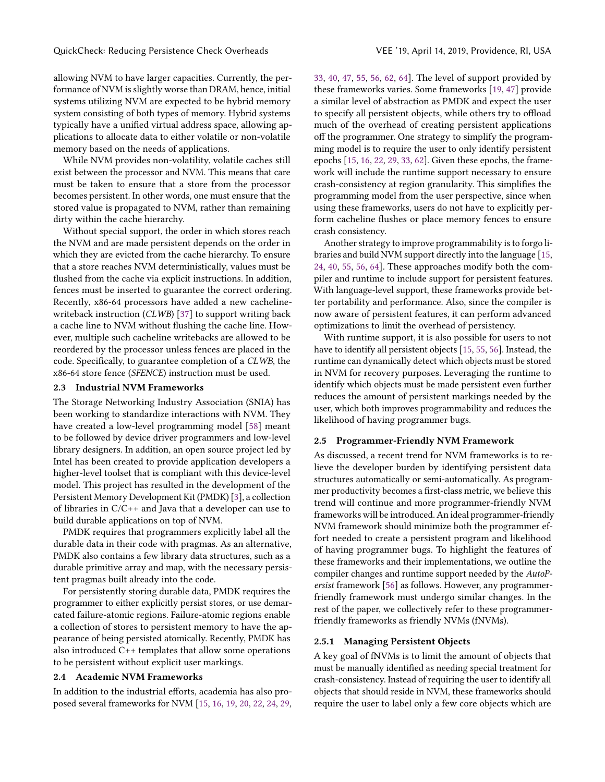allowing NVM to have larger capacities. Currently, the performance of NVM is slightly worse than DRAM, hence, initial systems utilizing NVM are expected to be hybrid memory system consisting of both types of memory. Hybrid systems typically have a unified virtual address space, allowing applications to allocate data to either volatile or non-volatile memory based on the needs of applications.

While NVM provides non-volatility, volatile caches still exist between the processor and NVM. This means that care must be taken to ensure that a store from the processor becomes persistent. In other words, one must ensure that the stored value is propagated to NVM, rather than remaining dirty within the cache hierarchy.

Without special support, the order in which stores reach the NVM and are made persistent depends on the order in which they are evicted from the cache hierarchy. To ensure that a store reaches NVM deterministically, values must be flushed from the cache via explicit instructions. In addition, fences must be inserted to guarantee the correct ordering. Recently, x86-64 processors have added a new cachelinewriteback instruction (CLWB) [\[37\]](#page-13-13) to support writing back a cache line to NVM without flushing the cache line. However, multiple such cacheline writebacks are allowed to be reordered by the processor unless fences are placed in the code. Specifically, to guarantee completion of a CLWB, the x86-64 store fence (SFENCE) instruction must be used.

#### 2.3 Industrial NVM Frameworks

The Storage Networking Industry Association (SNIA) has been working to standardize interactions with NVM. They have created a low-level programming model [\[58\]](#page-13-14) meant to be followed by device driver programmers and low-level library designers. In addition, an open source project led by Intel has been created to provide application developers a higher-level toolset that is compliant with this device-level model. This project has resulted in the development of the Persistent Memory Development Kit (PMDK) [\[3\]](#page-11-0), a collection of libraries in C/C++ and Java that a developer can use to build durable applications on top of NVM.

PMDK requires that programmers explicitly label all the durable data in their code with pragmas. As an alternative, PMDK also contains a few library data structures, such as a durable primitive array and map, with the necessary persistent pragmas built already into the code.

For persistently storing durable data, PMDK requires the programmer to either explicitly persist stores, or use demarcated failure-atomic regions. Failure-atomic regions enable a collection of stores to persistent memory to have the appearance of being persisted atomically. Recently, PMDK has also introduced C++ templates that allow some operations to be persistent without explicit user markings.

#### 2.4 Academic NVM Frameworks

In addition to the industrial efforts, academia has also proposed several frameworks for NVM [\[15,](#page-12-2) [16,](#page-12-3) [19,](#page-12-1) [20,](#page-12-4) [22,](#page-12-5) [24,](#page-12-6) [29,](#page-12-7)

[33,](#page-13-4) [40,](#page-13-5) [47,](#page-13-6) [55,](#page-13-7) [56,](#page-13-8) [62,](#page-14-2) [64\]](#page-14-1). The level of support provided by these frameworks varies. Some frameworks [\[19,](#page-12-1) [47\]](#page-13-6) provide a similar level of abstraction as PMDK and expect the user to specify all persistent objects, while others try to offload much of the overhead of creating persistent applications off the programmer. One strategy to simplify the programming model is to require the user to only identify persistent epochs [\[15,](#page-12-2) [16,](#page-12-3) [22,](#page-12-5) [29,](#page-12-7) [33,](#page-13-4) [62\]](#page-14-2). Given these epochs, the framework will include the runtime support necessary to ensure crash-consistency at region granularity. This simplifies the programming model from the user perspective, since when using these frameworks, users do not have to explicitly per-

crash consistency. Another strategy to improve programmability is to forgo libraries and build NVM support directly into the language [\[15,](#page-12-2) [24,](#page-12-6) [40,](#page-13-5) [55,](#page-13-7) [56,](#page-13-8) [64\]](#page-14-1). These approaches modify both the compiler and runtime to include support for persistent features. With language-level support, these frameworks provide better portability and performance. Also, since the compiler is now aware of persistent features, it can perform advanced optimizations to limit the overhead of persistency.

form cacheline flushes or place memory fences to ensure

With runtime support, it is also possible for users to not have to identify all persistent objects [\[15,](#page-12-2) [55,](#page-13-7) [56\]](#page-13-8). Instead, the runtime can dynamically detect which objects must be stored in NVM for recovery purposes. Leveraging the runtime to identify which objects must be made persistent even further reduces the amount of persistent markings needed by the user, which both improves programmability and reduces the likelihood of having programmer bugs.

## <span id="page-2-0"></span>2.5 Programmer-Friendly NVM Framework

As discussed, a recent trend for NVM frameworks is to relieve the developer burden by identifying persistent data structures automatically or semi-automatically. As programmer productivity becomes a first-class metric, we believe this trend will continue and more programmer-friendly NVM frameworks will be introduced. An ideal programmer-friendly NVM framework should minimize both the programmer effort needed to create a persistent program and likelihood of having programmer bugs. To highlight the features of these frameworks and their implementations, we outline the compiler changes and runtime support needed by the AutoPersist framework [\[56\]](#page-13-8) as follows. However, any programmerfriendly framework must undergo similar changes. In the rest of the paper, we collectively refer to these programmerfriendly frameworks as friendly NVMs (fNVMs).

#### <span id="page-2-1"></span>2.5.1 Managing Persistent Objects

A key goal of fNVMs is to limit the amount of objects that must be manually identified as needing special treatment for crash-consistency. Instead of requiring the user to identify all objects that should reside in NVM, these frameworks should require the user to label only a few core objects which are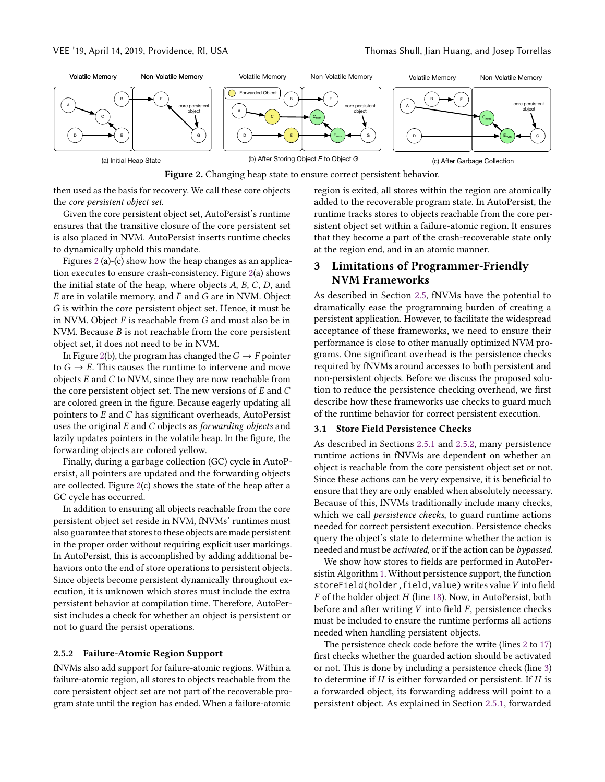<span id="page-3-0"></span>

Figure 2. Changing heap state to ensure correct persistent behavior.

then used as the basis for recovery. We call these core objects the core persistent object set.

Given the core persistent object set, AutoPersist's runtime ensures that the transitive closure of the core persistent set is also placed in NVM. AutoPersist inserts runtime checks to dynamically uphold this mandate.

Figures [2](#page-3-0) (a)-(c) show how the heap changes as an application executes to ensure crash-consistency. Figure [2\(](#page-3-0)a) shows the initial state of the heap, where objects A, B, C, D, and  $E$  are in volatile memory, and  $F$  and  $G$  are in NVM. Object G is within the core persistent object set. Hence, it must be in NVM. Object  $F$  is reachable from  $G$  and must also be in NVM. Because  $B$  is not reachable from the core persistent object set, it does not need to be in NVM.

In Figure [2\(](#page-3-0)b), the program has changed the  $G \rightarrow F$  pointer to  $G \rightarrow E$ . This causes the runtime to intervene and move objects E and C to NVM, since they are now reachable from the core persistent object set. The new versions of  $E$  and  $C$ are colored green in the figure. Because eagerly updating all pointers to E and C has significant overheads, AutoPersist uses the original  $E$  and  $C$  objects as forwarding objects and lazily updates pointers in the volatile heap. In the figure, the forwarding objects are colored yellow.

Finally, during a garbage collection (GC) cycle in AutoPersist, all pointers are updated and the forwarding objects are collected. Figure [2\(](#page-3-0)c) shows the state of the heap after a GC cycle has occurred.

In addition to ensuring all objects reachable from the core persistent object set reside in NVM, fNVMs' runtimes must also guarantee that stores to these objects are made persistent in the proper order without requiring explicit user markings. In AutoPersist, this is accomplished by adding additional behaviors onto the end of store operations to persistent objects. Since objects become persistent dynamically throughout execution, it is unknown which stores must include the extra persistent behavior at compilation time. Therefore, AutoPersist includes a check for whether an object is persistent or not to guard the persist operations.

#### <span id="page-3-1"></span>2.5.2 Failure-Atomic Region Support

fNVMs also add support for failure-atomic regions. Within a failure-atomic region, all stores to objects reachable from the core persistent object set are not part of the recoverable program state until the region has ended. When a failure-atomic

region is exited, all stores within the region are atomically added to the recoverable program state. In AutoPersist, the runtime tracks stores to objects reachable from the core persistent object set within a failure-atomic region. It ensures that they become a part of the crash-recoverable state only at the region end, and in an atomic manner.

# <span id="page-3-3"></span>3 Limitations of Programmer-Friendly NVM Frameworks

As described in Section [2.5,](#page-2-0) fNVMs have the potential to dramatically ease the programming burden of creating a persistent application. However, to facilitate the widespread acceptance of these frameworks, we need to ensure their performance is close to other manually optimized NVM programs. One significant overhead is the persistence checks required by fNVMs around accesses to both persistent and non-persistent objects. Before we discuss the proposed solution to reduce the persistence checking overhead, we first describe how these frameworks use checks to guard much of the runtime behavior for correct persistent execution.

## <span id="page-3-2"></span>3.1 Store Field Persistence Checks

As described in Sections [2.5.1](#page-2-1) and [2.5.2,](#page-3-1) many persistence runtime actions in fNVMs are dependent on whether an object is reachable from the core persistent object set or not. Since these actions can be very expensive, it is beneficial to ensure that they are only enabled when absolutely necessary. Because of this, fNVMs traditionally include many checks, which we call persistence checks, to guard runtime actions needed for correct persistent execution. Persistence checks query the object's state to determine whether the action is needed and must be *activated*, or if the action can be *bypassed*.

We show how stores to fields are performed in AutoPersistin Algorithm [1.](#page-4-0) Without persistence support, the function storeField(holder, field, value) writes value V into field  $F$  of the holder object  $H$  (line [18\)](#page-4-0). Now, in AutoPersist, both before and after writing  $V$  into field  $F$ , persistence checks must be included to ensure the runtime performs all actions needed when handling persistent objects.

The persistence check code before the write (lines [2](#page-4-0) to [17\)](#page-4-0) first checks whether the guarded action should be activated or not. This is done by including a persistence check (line [3\)](#page-4-0) to determine if  $H$  is either forwarded or persistent. If  $H$  is a forwarded object, its forwarding address will point to a persistent object. As explained in Section [2.5.1,](#page-2-1) forwarded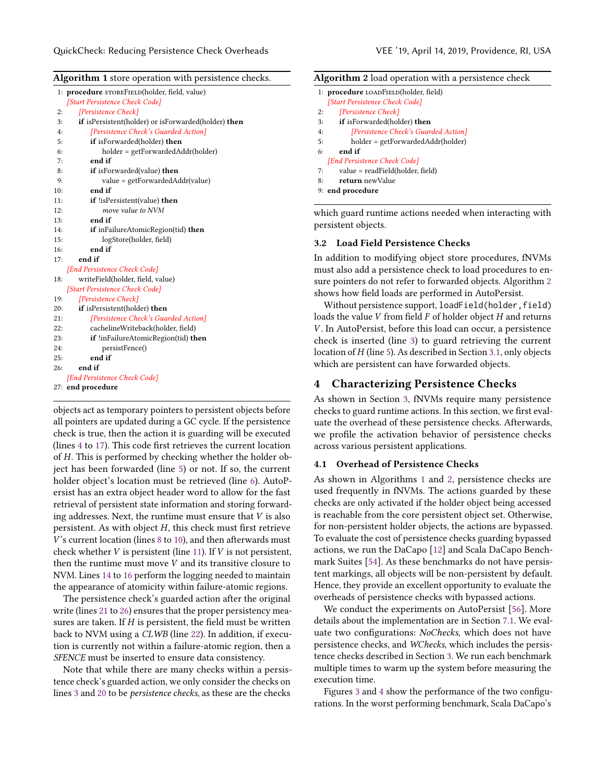<span id="page-4-0"></span>

| Algorithm 1 store operation with persistence checks. |  |  |  |
|------------------------------------------------------|--|--|--|
|                                                      |  |  |  |

|     | 1: procedure STOREFIELD(holder, field, value)                     |
|-----|-------------------------------------------------------------------|
|     | [Start Persistence Check Code]                                    |
| 2:  | [Persistence Check]                                               |
| 3:  | <b>if</b> isPersistent(holder) or isForwarded(holder) <b>then</b> |
| 4:  | [Persistence Check's Guarded Action]                              |
| 5:  | if isForwarded(holder) then                                       |
| 6:  | $holder = getForwardAddr(holder)$                                 |
| 7:  | end if                                                            |
| 8:  | if isForwarded(value) then                                        |
| 9:  | value = getForwardedAddr(value)                                   |
| 10: | end if                                                            |
| 11: | <b>if</b> !isPersistent(value) <b>then</b>                        |
| 12: | move value to NVM                                                 |
| 13: | end if                                                            |
| 14: | <b>if</b> inFailureAtomicRegion(tid) <b>then</b>                  |
| 15: | logStore(holder, field)                                           |
| 16: | end if                                                            |
| 17: | end if                                                            |
|     | [End Persistence Check Code]                                      |
| 18: | writeField(holder, field, value)                                  |
|     | [Start Persistence Check Code]                                    |
| 19: | [Persistence Check]                                               |
| 20: | if isPersistent(holder) then                                      |
| 21: | [Persistence Check's Guarded Action]                              |
| 22: | cachelineWriteback(holder, field)                                 |
| 23: | if !inFailureAtomicRegion(tid) then                               |
| 24: | persistFence()                                                    |
| 25: | end if                                                            |
| 26: | end if                                                            |
|     | [End Persistence Check Code]                                      |
|     | 27: end procedure                                                 |

objects act as temporary pointers to persistent objects before all pointers are updated during a GC cycle. If the persistence check is true, then the action it is guarding will be executed (lines [4](#page-4-0) to [17\)](#page-4-0). This code first retrieves the current location of H. This is performed by checking whether the holder object has been forwarded (line [5\)](#page-4-0) or not. If so, the current holder object's location must be retrieved (line [6\)](#page-4-0). AutoPersist has an extra object header word to allow for the fast retrieval of persistent state information and storing forwarding addresses. Next, the runtime must ensure that  $V$  is also persistent. As with object H, this check must first retrieve  $V$ 's current location (lines [8](#page-4-0) to [10\)](#page-4-0), and then afterwards must check whether  $V$  is persistent (line [11\)](#page-4-0). If  $V$  is not persistent, then the runtime must move V and its transitive closure to NVM. Lines [14](#page-4-0) to [16](#page-4-0) perform the logging needed to maintain the appearance of atomicity within failure-atomic regions.

The persistence check's guarded action after the original write (lines [21](#page-4-0) to [26\)](#page-4-0) ensures that the proper persistency measures are taken. If  $H$  is persistent, the field must be written back to NVM using a CLWB (line [22\)](#page-4-0). In addition, if execution is currently not within a failure-atomic region, then a SFENCE must be inserted to ensure data consistency.

Note that while there are many checks within a persistence check's guarded action, we only consider the checks on lines [3](#page-4-0) and [20](#page-4-0) to be persistence checks, as these are the checks

<span id="page-4-1"></span>

|  |  | Algorithm 2 load operation with a persistence check |  |
|--|--|-----------------------------------------------------|--|
|  |  |                                                     |  |
|  |  |                                                     |  |

| 1: <b>procedure</b> LOADFIELD(holder, field) |
|----------------------------------------------|
| [Start Persistence Check Code]               |
| [Persistence Check]<br>2:                    |
| if isForwarded(holder) then<br>3:            |
| [Persistence Check's Guarded Action]<br>4:   |
| holder = getForwardedAddr(holder)<br>5:      |
| end if<br>6:                                 |
| [End Persistence Check Code]                 |
| value = readField(holder, field)<br>7:       |
| return newValue<br>8:                        |
| 9: end procedure                             |

which guard runtime actions needed when interacting with persistent objects.

## <span id="page-4-2"></span>3.2 Load Field Persistence Checks

In addition to modifying object store procedures, fNVMs must also add a persistence check to load procedures to ensure pointers do not refer to forwarded objects. Algorithm [2](#page-4-1) shows how field loads are performed in AutoPersist.

Without persistence support, loadField(holder,field) loads the value  $V$  from field  $F$  of holder object  $H$  and returns V . In AutoPersist, before this load can occur, a persistence check is inserted (line [3\)](#page-4-1) to guard retrieving the current location of  $H$  (line [5\)](#page-4-1). As described in Section [3.1,](#page-3-2) only objects which are persistent can have forwarded objects.

# 4 Characterizing Persistence Checks

As shown in Section [3,](#page-3-3) fNVMs require many persistence checks to guard runtime actions. In this section, we first evaluate the overhead of these persistence checks. Afterwards, we profile the activation behavior of persistence checks across various persistent applications.

## 4.1 Overhead of Persistence Checks

As shown in Algorithms [1](#page-4-0) and [2,](#page-4-1) persistence checks are used frequently in fNVMs. The actions guarded by these checks are only activated if the holder object being accessed is reachable from the core persistent object set. Otherwise, for non-persistent holder objects, the actions are bypassed. To evaluate the cost of persistence checks guarding bypassed actions, we run the DaCapo [\[12\]](#page-12-12) and Scala DaCapo Benchmark Suites [\[54\]](#page-13-15). As these benchmarks do not have persistent markings, all objects will be non-persistent by default. Hence, they provide an excellent opportunity to evaluate the overheads of persistence checks with bypassed actions.

We conduct the experiments on AutoPersist [\[56\]](#page-13-8). More details about the implementation are in Section [7.1.](#page-8-0) We evaluate two configurations: NoChecks, which does not have persistence checks, and WChecks, which includes the persistence checks described in Section [3.](#page-3-3) We run each benchmark multiple times to warm up the system before measuring the execution time.

Figures [3](#page-5-0) and [4](#page-5-0) show the performance of the two configurations. In the worst performing benchmark, Scala DaCapo's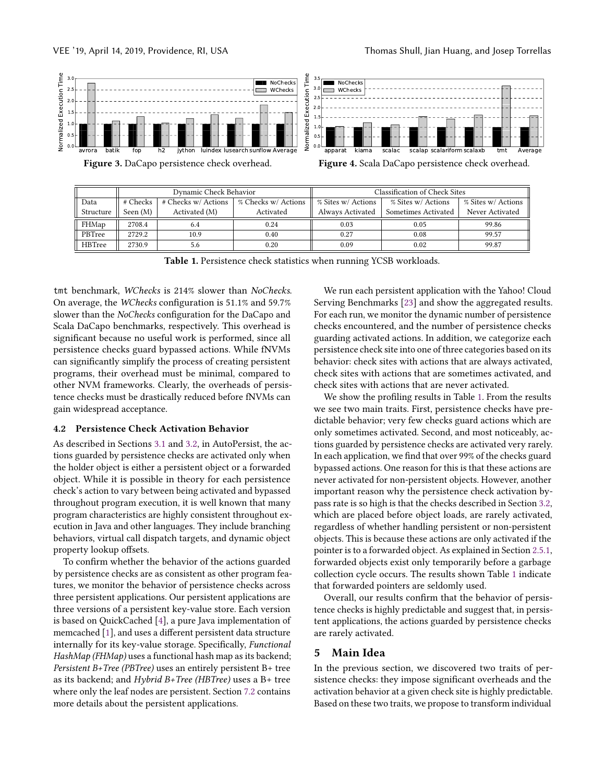$_{0.0}$ 

Execution Time

Normalized

<span id="page-5-0"></span>





avrora batik fop h2 jython luindex lusearch sunflow Average Figure 3. DaCapo persistence check overhead.



<span id="page-5-1"></span>

|           |          | Dynamic Check Behavior |                     | Classification of Check Sites |                     |                    |  |
|-----------|----------|------------------------|---------------------|-------------------------------|---------------------|--------------------|--|
| Data      | # Checks | # Checks w/ Actions    | % Checks w/ Actions | % Sites w/ Actions            | % Sites w/ Actions  | % Sites w/ Actions |  |
| Structure | Seen (M) | Activated (M)          | Activated           | Always Activated              | Sometimes Activated | Never Activated    |  |
| FHMap     | 2708.4   | 6.4                    | 0.24                | 0.03                          | 0.05                | 99.86              |  |
| PBTree    | 2729.2   | 10.9                   | 0.40                | 0.27                          | 0.08                | 99.57              |  |
| HBTree    | 2730.9   | 5.6                    | 0.20                | 0.09                          | 0.02                | 99.87              |  |

Table 1. Persistence check statistics when running YCSB workloads.

tmt benchmark, WChecks is 214% slower than NoChecks. On average, the WChecks configuration is 51.1% and 59.7% slower than the NoChecks configuration for the DaCapo and Scala DaCapo benchmarks, respectively. This overhead is significant because no useful work is performed, since all persistence checks guard bypassed actions. While fNVMs can significantly simplify the process of creating persistent programs, their overhead must be minimal, compared to other NVM frameworks. Clearly, the overheads of persistence checks must be drastically reduced before fNVMs can gain widespread acceptance.

## <span id="page-5-2"></span>4.2 Persistence Check Activation Behavior

As described in Sections [3.1](#page-3-2) and [3.2,](#page-4-2) in AutoPersist, the actions guarded by persistence checks are activated only when the holder object is either a persistent object or a forwarded object. While it is possible in theory for each persistence check's action to vary between being activated and bypassed throughout program execution, it is well known that many program characteristics are highly consistent throughout execution in Java and other languages. They include branching behaviors, virtual call dispatch targets, and dynamic object property lookup offsets.

To confirm whether the behavior of the actions guarded by persistence checks are as consistent as other program features, we monitor the behavior of persistence checks across three persistent applications. Our persistent applications are three versions of a persistent key-value store. Each version is based on QuickCached [\[4\]](#page-12-13), a pure Java implementation of memcached [\[1\]](#page-11-1), and uses a different persistent data structure internally for its key-value storage. Specifically, Functional HashMap (FHMap) uses a functional hash map as its backend; Persistent B+Tree (PBTree) uses an entirely persistent B+ tree as its backend; and  $Hybrid B+Tree$  (HBTree) uses a B+ tree where only the leaf nodes are persistent. Section [7.2](#page-8-1) contains more details about the persistent applications.

We run each persistent application with the Yahoo! Cloud Serving Benchmarks [\[23\]](#page-12-14) and show the aggregated results. For each run, we monitor the dynamic number of persistence checks encountered, and the number of persistence checks guarding activated actions. In addition, we categorize each persistence check site into one of three categories based on its behavior: check sites with actions that are always activated, check sites with actions that are sometimes activated, and check sites with actions that are never activated.

We show the profiling results in Table [1.](#page-5-1) From the results we see two main traits. First, persistence checks have predictable behavior; very few checks guard actions which are only sometimes activated. Second, and most noticeably, actions guarded by persistence checks are activated very rarely. In each application, we find that over 99% of the checks guard bypassed actions. One reason for this is that these actions are never activated for non-persistent objects. However, another important reason why the persistence check activation bypass rate is so high is that the checks described in Section [3.2,](#page-4-2) which are placed before object loads, are rarely activated, regardless of whether handling persistent or non-persistent objects. This is because these actions are only activated if the pointer is to a forwarded object. As explained in Section [2.5.1,](#page-2-1) forwarded objects exist only temporarily before a garbage collection cycle occurs. The results shown Table [1](#page-5-1) indicate that forwarded pointers are seldomly used.

Overall, our results confirm that the behavior of persistence checks is highly predictable and suggest that, in persistent applications, the actions guarded by persistence checks are rarely activated.

# 5 Main Idea

In the previous section, we discovered two traits of persistence checks: they impose significant overheads and the activation behavior at a given check site is highly predictable. Based on these two traits, we propose to transform individual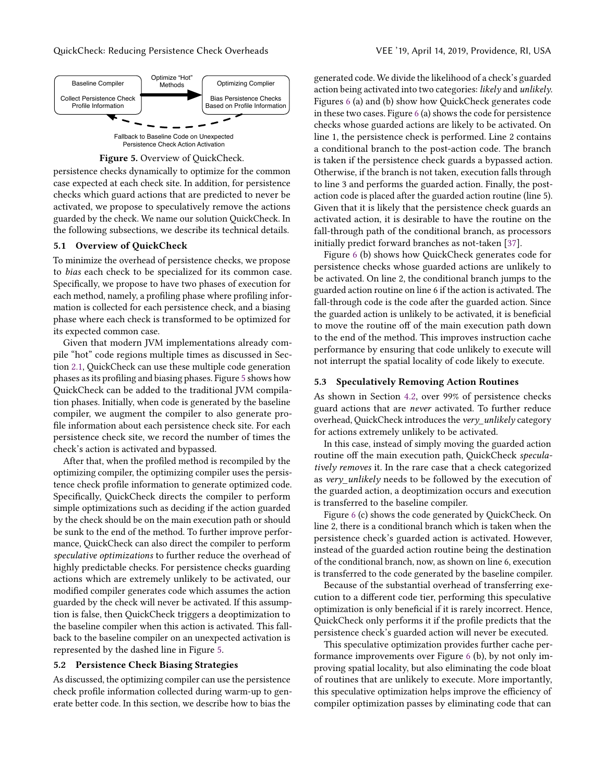<span id="page-6-0"></span>

Figure 5. Overview of QuickCheck.

persistence checks dynamically to optimize for the common case expected at each check site. In addition, for persistence checks which guard actions that are predicted to never be activated, we propose to speculatively remove the actions guarded by the check. We name our solution QuickCheck. In the following subsections, we describe its technical details.

## 5.1 Overview of QuickCheck

To minimize the overhead of persistence checks, we propose to bias each check to be specialized for its common case. Specifically, we propose to have two phases of execution for each method, namely, a profiling phase where profiling information is collected for each persistence check, and a biasing phase where each check is transformed to be optimized for its expected common case.

Given that modern JVM implementations already compile "hot" code regions multiple times as discussed in Section [2.1,](#page-1-1) QuickCheck can use these multiple code generation phases as its profiling and biasing phases. Figure [5](#page-6-0) shows how QuickCheck can be added to the traditional JVM compilation phases. Initially, when code is generated by the baseline compiler, we augment the compiler to also generate profile information about each persistence check site. For each persistence check site, we record the number of times the check's action is activated and bypassed.

After that, when the profiled method is recompiled by the optimizing compiler, the optimizing compiler uses the persistence check profile information to generate optimized code. Specifically, QuickCheck directs the compiler to perform simple optimizations such as deciding if the action guarded by the check should be on the main execution path or should be sunk to the end of the method. To further improve performance, QuickCheck can also direct the compiler to perform speculative optimizations to further reduce the overhead of highly predictable checks. For persistence checks guarding actions which are extremely unlikely to be activated, our modified compiler generates code which assumes the action guarded by the check will never be activated. If this assumption is false, then QuickCheck triggers a deoptimization to the baseline compiler when this action is activated. This fallback to the baseline compiler on an unexpected activation is represented by the dashed line in Figure [5.](#page-6-0)

## 5.2 Persistence Check Biasing Strategies

As discussed, the optimizing compiler can use the persistence check profile information collected during warm-up to generate better code. In this section, we describe how to bias the

generated code. We divide the likelihood of a check's guarded action being activated into two categories: likely and unlikely. Figures [6](#page-7-0) (a) and (b) show how QuickCheck generates code in these two cases. Figure [6](#page-7-0) (a) shows the code for persistence checks whose guarded actions are likely to be activated. On line 1, the persistence check is performed. Line 2 contains a conditional branch to the post-action code. The branch is taken if the persistence check guards a bypassed action. Otherwise, if the branch is not taken, execution falls through to line 3 and performs the guarded action. Finally, the postaction code is placed after the guarded action routine (line 5). Given that it is likely that the persistence check guards an activated action, it is desirable to have the routine on the fall-through path of the conditional branch, as processors initially predict forward branches as not-taken [\[37\]](#page-13-13).

Figure [6](#page-7-0) (b) shows how QuickCheck generates code for persistence checks whose guarded actions are unlikely to be activated. On line 2, the conditional branch jumps to the guarded action routine on line 6 if the action is activated. The fall-through code is the code after the guarded action. Since the guarded action is unlikely to be activated, it is beneficial to move the routine off of the main execution path down to the end of the method. This improves instruction cache performance by ensuring that code unlikely to execute will not interrupt the spatial locality of code likely to execute.

#### 5.3 Speculatively Removing Action Routines

As shown in Section [4.2,](#page-5-2) over 99% of persistence checks guard actions that are never activated. To further reduce overhead, QuickCheck introduces the very\_unlikely category for actions extremely unlikely to be activated.

In this case, instead of simply moving the guarded action routine off the main execution path, QuickCheck speculatively removes it. In the rare case that a check categorized as very unlikely needs to be followed by the execution of the guarded action, a deoptimization occurs and execution is transferred to the baseline compiler.

Figure [6](#page-7-0) (c) shows the code generated by QuickCheck. On line 2, there is a conditional branch which is taken when the persistence check's guarded action is activated. However, instead of the guarded action routine being the destination of the conditional branch, now, as shown on line 6, execution is transferred to the code generated by the baseline compiler.

Because of the substantial overhead of transferring execution to a different code tier, performing this speculative optimization is only beneficial if it is rarely incorrect. Hence, QuickCheck only performs it if the profile predicts that the persistence check's guarded action will never be executed.

This speculative optimization provides further cache performance improvements over Figure [6](#page-7-0) (b), by not only improving spatial locality, but also eliminating the code bloat of routines that are unlikely to execute. More importantly, this speculative optimization helps improve the efficiency of compiler optimization passes by eliminating code that can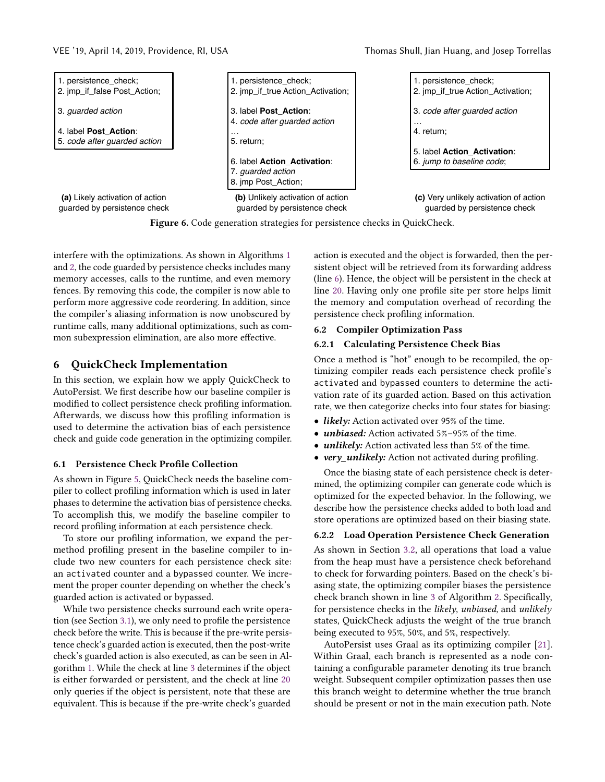<span id="page-7-0"></span>

Figure 6. Code generation strategies for persistence checks in QuickCheck.

interfere with the optimizations. As shown in Algorithms [1](#page-4-0) and [2,](#page-4-1) the code guarded by persistence checks includes many memory accesses, calls to the runtime, and even memory fences. By removing this code, the compiler is now able to perform more aggressive code reordering. In addition, since the compiler's aliasing information is now unobscured by runtime calls, many additional optimizations, such as common subexpression elimination, are also more effective.

# 6 QuickCheck Implementation

In this section, we explain how we apply QuickCheck to AutoPersist. We first describe how our baseline compiler is modified to collect persistence check profiling information. Afterwards, we discuss how this profiling information is used to determine the activation bias of each persistence check and guide code generation in the optimizing compiler.

## <span id="page-7-2"></span>6.1 Persistence Check Profile Collection

As shown in Figure [5,](#page-6-0) QuickCheck needs the baseline compiler to collect profiling information which is used in later phases to determine the activation bias of persistence checks. To accomplish this, we modify the baseline compiler to record profiling information at each persistence check.

To store our profiling information, we expand the permethod profiling present in the baseline compiler to include two new counters for each persistence check site: an activated counter and a bypassed counter. We increment the proper counter depending on whether the check's guarded action is activated or bypassed.

While two persistence checks surround each write operation (see Section [3.1\)](#page-3-2), we only need to profile the persistence check before the write. This is because if the pre-write persistence check's guarded action is executed, then the post-write check's guarded action is also executed, as can be seen in Algorithm [1.](#page-4-0) While the check at line [3](#page-4-0) determines if the object is either forwarded or persistent, and the check at line [20](#page-4-0) only queries if the object is persistent, note that these are equivalent. This is because if the pre-write check's guarded

action is executed and the object is forwarded, then the persistent object will be retrieved from its forwarding address (line [6\)](#page-4-0). Hence, the object will be persistent in the check at line [20.](#page-4-0) Having only one profile site per store helps limit the memory and computation overhead of recording the persistence check profiling information.

## 6.2 Compiler Optimization Pass

#### 6.2.1 Calculating Persistence Check Bias

Once a method is "hot" enough to be recompiled, the optimizing compiler reads each persistence check profile's activated and bypassed counters to determine the activation rate of its guarded action. Based on this activation rate, we then categorize checks into four states for biasing:

- likely: Action activated over 95% of the time.
- *unbiased:* Action activated 5%-95% of the time.
- *unlikely:* Action activated less than 5% of the time.
- very unlikely: Action not activated during profiling.

Once the biasing state of each persistence check is determined, the optimizing compiler can generate code which is optimized for the expected behavior. In the following, we describe how the persistence checks added to both load and store operations are optimized based on their biasing state.

#### <span id="page-7-1"></span>6.2.2 Load Operation Persistence Check Generation

As shown in Section [3.2,](#page-4-2) all operations that load a value from the heap must have a persistence check beforehand to check for forwarding pointers. Based on the check's biasing state, the optimizing compiler biases the persistence check branch shown in line [3](#page-4-1) of Algorithm [2.](#page-4-1) Specifically, for persistence checks in the likely, unbiased, and unlikely states, QuickCheck adjusts the weight of the true branch being executed to 95%, 50%, and 5%, respectively.

AutoPersist uses Graal as its optimizing compiler [\[21\]](#page-12-15). Within Graal, each branch is represented as a node containing a configurable parameter denoting its true branch weight. Subsequent compiler optimization passes then use this branch weight to determine whether the true branch should be present or not in the main execution path. Note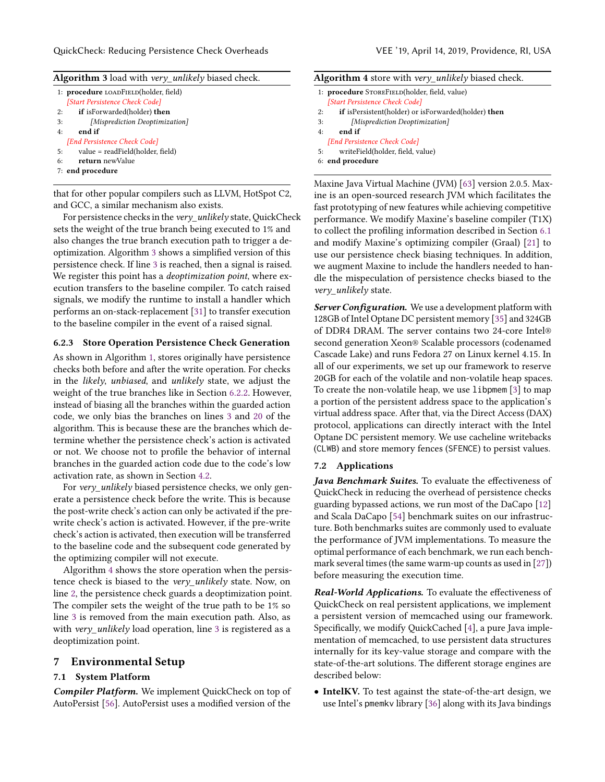<span id="page-8-2"></span>

| Algorithm 3 load with very_unlikely biased check. |  |  |  |  |
|---------------------------------------------------|--|--|--|--|
|                                                   |  |  |  |  |

| 1: <b>procedure</b> LOADFIELD(holder, field) |  |
|----------------------------------------------|--|
| [Start Persistence Check Code]               |  |
| <b>if</b> is Forwarded (holder) <b>then</b>  |  |
| [Misprediction Deoptimization]               |  |
|                                              |  |
| [End Persistence Check Code]                 |  |
| value = readField(holder, field)             |  |
|                                              |  |
|                                              |  |
|                                              |  |

that for other popular compilers such as LLVM, HotSpot C2, and GCC, a similar mechanism also exists.

For persistence checks in the very\_unlikely state, QuickCheck sets the weight of the true branch being executed to 1% and also changes the true branch execution path to trigger a deoptimization. Algorithm [3](#page-8-2) shows a simplified version of this persistence check. If line [3](#page-8-2) is reached, then a signal is raised. We register this point has a deoptimization point, where execution transfers to the baseline compiler. To catch raised signals, we modify the runtime to install a handler which performs an on-stack-replacement [\[31\]](#page-13-11) to transfer execution to the baseline compiler in the event of a raised signal.

## 6.2.3 Store Operation Persistence Check Generation

As shown in Algorithm [1,](#page-4-0) stores originally have persistence checks both before and after the write operation. For checks in the likely, unbiased, and unlikely state, we adjust the weight of the true branches like in Section [6.2.2.](#page-7-1) However, instead of biasing all the branches within the guarded action code, we only bias the branches on lines [3](#page-4-0) and [20](#page-4-0) of the algorithm. This is because these are the branches which determine whether the persistence check's action is activated or not. We choose not to profile the behavior of internal branches in the guarded action code due to the code's low activation rate, as shown in Section [4.2.](#page-5-2)

For very unlikely biased persistence checks, we only generate a persistence check before the write. This is because the post-write check's action can only be activated if the prewrite check's action is activated. However, if the pre-write check's action is activated, then execution will be transferred to the baseline code and the subsequent code generated by the optimizing compiler will not execute.

Algorithm [4](#page-8-3) shows the store operation when the persistence check is biased to the very\_unlikely state. Now, on line [2,](#page-8-3) the persistence check guards a deoptimization point. The compiler sets the weight of the true path to be 1% so line [3](#page-8-3) is removed from the main execution path. Also, as with very\_unlikely load operation, line [3](#page-8-3) is registered as a deoptimization point.

# 7 Environmental Setup

## <span id="page-8-0"></span>7.1 System Platform

Compiler Platform. We implement QuickCheck on top of AutoPersist [\[56\]](#page-13-8). AutoPersist uses a modified version of the

<span id="page-8-3"></span>

| <b>Algorithm 4</b> store with very unlikely biased check.               |  |
|-------------------------------------------------------------------------|--|
| 1: <b>procedure</b> STOREFIELD(holder, field, value)                    |  |
| [Start Persistence Check Code]                                          |  |
| <b>if</b> isPersistent(holder) or isForwarded(holder) <b>then</b><br>2: |  |
| [Misprediction Deoptimization]<br>3:                                    |  |
| end if<br>4:                                                            |  |
| [End Persistence Check Code]                                            |  |
| writeField(holder, field, value)<br>5:                                  |  |
| 6: end procedure                                                        |  |
|                                                                         |  |

Maxine Java Virtual Machine (JVM) [\[63\]](#page-14-3) version 2.0.5. Maxine is an open-sourced research JVM which facilitates the fast prototyping of new features while achieving competitive performance. We modify Maxine's baseline compiler (T1X) to collect the profiling information described in Section [6.1](#page-7-2) and modify Maxine's optimizing compiler (Graal) [\[21\]](#page-12-15) to use our persistence check biasing techniques. In addition, we augment Maxine to include the handlers needed to handle the mispeculation of persistence checks biased to the very\_unlikely state.

**Server Configuration.** We use a development platform with 128GB of Intel Optane DC persistent memory [\[35\]](#page-13-9) and 324GB of DDR4 DRAM. The server contains two 24-core Intel® second generation Xeon® Scalable processors (codenamed Cascade Lake) and runs Fedora 27 on Linux kernel 4.15. In all of our experiments, we set up our framework to reserve 20GB for each of the volatile and non-volatile heap spaces. To create the non-volatile heap, we use libpmem [\[3\]](#page-11-0) to map a portion of the persistent address space to the application's virtual address space. After that, via the Direct Access (DAX) protocol, applications can directly interact with the Intel Optane DC persistent memory. We use cacheline writebacks (CLWB) and store memory fences (SFENCE) to persist values.

## <span id="page-8-1"></span>7.2 Applications

**Java Benchmark Suites.** To evaluate the effectiveness of QuickCheck in reducing the overhead of persistence checks guarding bypassed actions, we run most of the DaCapo [\[12\]](#page-12-12) and Scala DaCapo [\[54\]](#page-13-15) benchmark suites on our infrastructure. Both benchmarks suites are commonly used to evaluate the performance of JVM implementations. To measure the optimal performance of each benchmark, we run each benchmark several times (the same warm-up counts as used in [\[27\]](#page-12-16)) before measuring the execution time.

Real-World Applications. To evaluate the effectiveness of QuickCheck on real persistent applications, we implement a persistent version of memcached using our framework. Specifically, we modify QuickCached [\[4\]](#page-12-13), a pure Java implementation of memcached, to use persistent data structures internally for its key-value storage and compare with the state-of-the-art solutions. The different storage engines are described below:

• IntelKV. To test against the state-of-the-art design, we use Intel's pmemkv library [\[36\]](#page-13-16) along with its Java bindings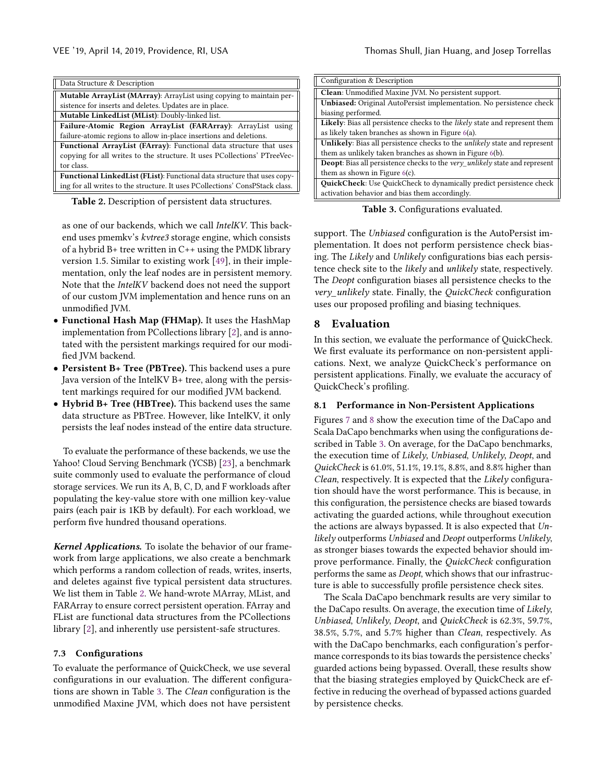<span id="page-9-0"></span>

| Data Structure & Description                                                 |  |  |  |
|------------------------------------------------------------------------------|--|--|--|
| <b>Mutable ArrayList (MArray):</b> ArrayList using copying to maintain per-  |  |  |  |
| sistence for inserts and deletes. Updates are in place.                      |  |  |  |
| Mutable LinkedList (MList): Doubly-linked list.                              |  |  |  |
| Failure-Atomic Region ArrayList (FARArray): ArrayList using                  |  |  |  |
| failure-atomic regions to allow in-place insertions and deletions.           |  |  |  |
| Functional ArrayList (FArray): Functional data structure that uses           |  |  |  |
| copying for all writes to the structure. It uses PCollections' PTreeVec-     |  |  |  |
| tor class.                                                                   |  |  |  |
| Functional LinkedList (FList): Functional data structure that uses copy-     |  |  |  |
| ing for all writes to the structure. It uses PCollections' ConsPStack class. |  |  |  |

Table 2. Description of persistent data structures.

as one of our backends, which we call IntelKV. This backend uses pmemkv's kvtree3 storage engine, which consists of a hybrid B+ tree written in C++ using the PMDK library version 1.5. Similar to existing work [\[49\]](#page-13-17), in their implementation, only the leaf nodes are in persistent memory. Note that the IntelKV backend does not need the support of our custom JVM implementation and hence runs on an unmodified JVM.

- Functional Hash Map (FHMap). It uses the HashMap implementation from PCollections library [\[2\]](#page-11-2), and is annotated with the persistent markings required for our modified JVM backend.
- Persistent B+ Tree (PBTree). This backend uses a pure Java version of the IntelKV B+ tree, along with the persistent markings required for our modified JVM backend.
- Hybrid B+ Tree (HBTree). This backend uses the same data structure as PBTree. However, like IntelKV, it only persists the leaf nodes instead of the entire data structure.

To evaluate the performance of these backends, we use the Yahoo! Cloud Serving Benchmark (YCSB) [\[23\]](#page-12-14), a benchmark suite commonly used to evaluate the performance of cloud storage services. We run its A, B, C, D, and F workloads after populating the key-value store with one million key-value pairs (each pair is 1KB by default). For each workload, we perform five hundred thousand operations.

Kernel Applications. To isolate the behavior of our framework from large applications, we also create a benchmark which performs a random collection of reads, writes, inserts, and deletes against five typical persistent data structures. We list them in Table [2.](#page-9-0) We hand-wrote MArray, MList, and FARArray to ensure correct persistent operation. FArray and FList are functional data structures from the PCollections library [\[2\]](#page-11-2), and inherently use persistent-safe structures.

## 7.3 Configurations

To evaluate the performance of QuickCheck, we use several configurations in our evaluation. The different configurations are shown in Table [3.](#page-9-1) The Clean configuration is the unmodified Maxine JVM, which does not have persistent

<span id="page-9-1"></span>

| Configuration & Description                                                               |  |  |
|-------------------------------------------------------------------------------------------|--|--|
| Clean: Unmodified Maxine JVM. No persistent support.                                      |  |  |
| Unbiased: Original AutoPersist implementation. No persistence check                       |  |  |
| biasing performed.                                                                        |  |  |
| <b>Likely</b> : Bias all persistence checks to the <i>likely</i> state and represent them |  |  |
| as likely taken branches as shown in Figure 6(a).                                         |  |  |
| Unlikely: Bias all persistence checks to the <i>unlikely</i> state and represent          |  |  |
| them as unlikely taken branches as shown in Figure 6(b).                                  |  |  |
| <b>Deopt:</b> Bias all persistence checks to the very unlikely state and represent        |  |  |
| them as shown in Figure $6(c)$ .                                                          |  |  |
| QuickCheck: Use QuickCheck to dynamically predict persistence check                       |  |  |
| activation behavior and bias them accordingly.                                            |  |  |

Table 3. Configurations evaluated.

support. The Unbiased configuration is the AutoPersist implementation. It does not perform persistence check biasing. The Likely and Unlikely configurations bias each persistence check site to the likely and unlikely state, respectively. The Deopt configuration biases all persistence checks to the very\_unlikely state. Finally, the QuickCheck configuration uses our proposed profiling and biasing techniques.

# 8 Evaluation

In this section, we evaluate the performance of QuickCheck. We first evaluate its performance on non-persistent applications. Next, we analyze QuickCheck's performance on persistent applications. Finally, we evaluate the accuracy of QuickCheck's profiling.

## 8.1 Performance in Non-Persistent Applications

Figures [7](#page-10-0) and [8](#page-10-0) show the execution time of the DaCapo and Scala DaCapo benchmarks when using the configurations described in Table [3.](#page-9-1) On average, for the DaCapo benchmarks, the execution time of Likely, Unbiased, Unlikely, Deopt, and QuickCheck is 61.0%, 51.1%, 19.1%, 8.8%, and 8.8% higher than Clean, respectively. It is expected that the Likely configuration should have the worst performance. This is because, in this configuration, the persistence checks are biased towards activating the guarded actions, while throughout execution the actions are always bypassed. It is also expected that Unlikely outperforms Unbiased and Deopt outperforms Unlikely, as stronger biases towards the expected behavior should improve performance. Finally, the QuickCheck configuration performs the same as Deopt, which shows that our infrastructure is able to successfully profile persistence check sites.

The Scala DaCapo benchmark results are very similar to the DaCapo results. On average, the execution time of Likely, Unbiased, Unlikely, Deopt, and QuickCheck is 62.3%, 59.7%, 38.5%, 5.7%, and 5.7% higher than Clean, respectively. As with the DaCapo benchmarks, each configuration's performance corresponds to its bias towards the persistence checks' guarded actions being bypassed. Overall, these results show that the biasing strategies employed by QuickCheck are effective in reducing the overhead of bypassed actions guarded by persistence checks.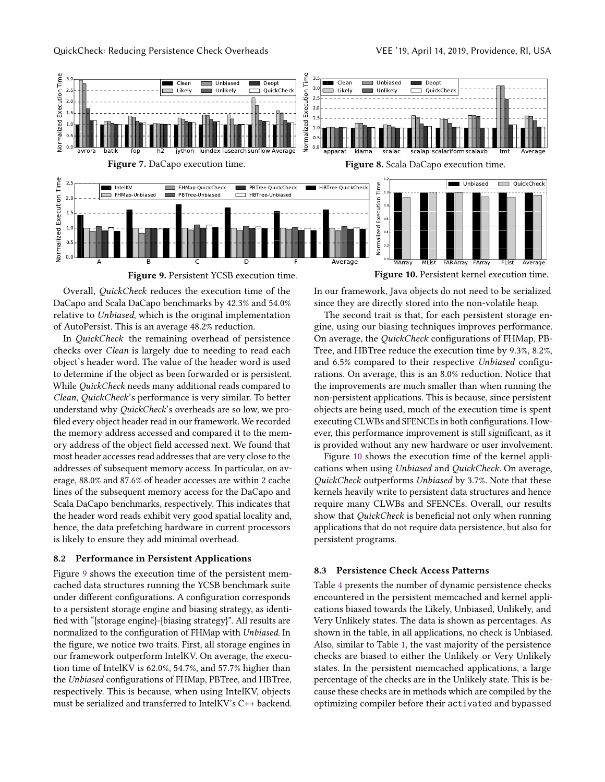<span id="page-10-1"></span><span id="page-10-0"></span>

Overall, QuickCheck reduces the execution time of the DaCapo and Scala DaCapo benchmarks by 42.3% and 54.0% relative to Unbiased, which is the original implementation of AutoPersist. This is an average 48.2% reduction.

In QuickCheck the remaining overhead of persistence checks over Clean is largely due to needing to read each object's header word. The value of the header word is used to determine if the object as been forwarded or is persistent. While QuickCheck needs many additional reads compared to Clean, QuickCheck's performance is very similar. To better understand why QuickCheck's overheads are so low, we profiled every object header read in our framework. We recorded the memory address accessed and compared it to the memory address of the object field accessed next. We found that most header accesses read addresses that are very close to the addresses of subsequent memory access. In particular, on average, 88.0% and 87.6% of header accesses are within 2 cache lines of the subsequent memory access for the DaCapo and Scala DaCapo benchmarks, respectively. This indicates that the header word reads exhibit very good spatial locality and, hence, the data prefetching hardware in current processors is likely to ensure they add minimal overhead.

## 8.2 Performance in Persistent Applications

Figure [9](#page-10-1) shows the execution time of the persistent memcached data structures running the YCSB benchmark suite under different configurations. A configuration corresponds to a persistent storage engine and biasing strategy, as identified with "{storage engine}-{biasing strategy}". All results are normalized to the configuration of FHMap with Unbiased. In the figure, we notice two traits. First, all storage engines in our framework outperform IntelKV. On average, the execution time of IntelKV is 62.0%, 54.7%, and 57.7% higher than the Unbiased configurations of FHMap, PBTree, and HBTree, respectively. This is because, when using IntelKV, objects must be serialized and transferred to IntelKV's C++ backend.

Figure 10. Persistent kernel execution time.

In our framework, Java objects do not need to be serialized since they are directly stored into the non-volatile heap.

The second trait is that, for each persistent storage engine, using our biasing techniques improves performance. On average, the QuickCheck configurations of FHMap, PB-Tree, and HBTree reduce the execution time by 9.3%, 8.2%, and 6.5% compared to their respective Unbiased configurations. On average, this is an 8.0% reduction. Notice that the improvements are much smaller than when running the non-persistent applications. This is because, since persistent objects are being used, much of the execution time is spent executing CLWBs and SFENCEs in both configurations. However, this performance improvement is still significant, as it is provided without any new hardware or user involvement.

Figure [10](#page-10-1) shows the execution time of the kernel applications when using Unbiased and QuickCheck. On average, QuickCheck outperforms Unbiased by 3.7%. Note that these kernels heavily write to persistent data structures and hence require many CLWBs and SFENCEs. Overall, our results show that *QuickCheck* is beneficial not only when running applications that do not require data persistence, but also for persistent programs.

## 8.3 Persistence Check Access Patterns

Table [4](#page-11-3) presents the number of dynamic persistence checks encountered in the persistent memcached and kernel applications biased towards the Likely, Unbiased, Unlikely, and Very Unlikely states. The data is shown as percentages. As shown in the table, in all applications, no check is Unbiased. Also, similar to Table [1,](#page-5-1) the vast majority of the persistence checks are biased to either the Unlikely or Very Unlikely states. In the persistent memcached applications, a large percentage of the checks are in the Unlikely state. This is because these checks are in methods which are compiled by the optimizing compiler before their activated and bypassed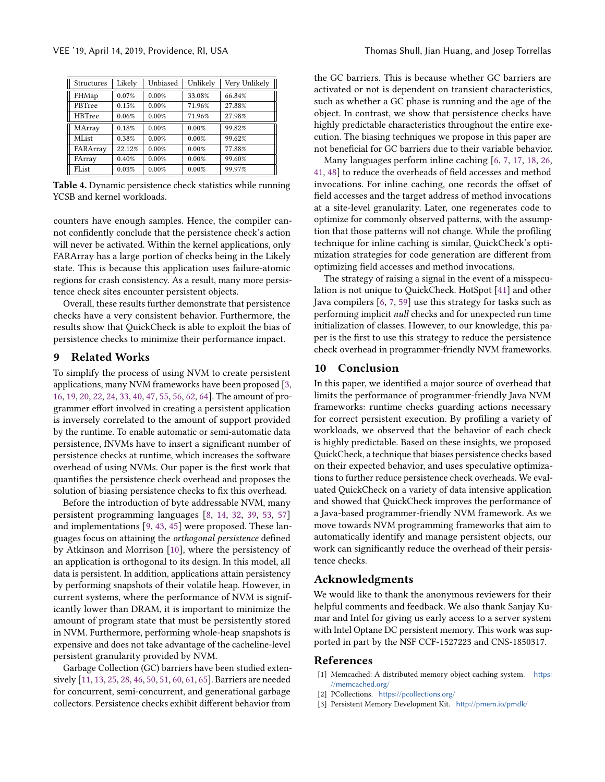<span id="page-11-3"></span>

| <b>Structures</b> | Likely | Unbiased | Unlikely | Very Unlikely |
|-------------------|--------|----------|----------|---------------|
| FHMap             | 0.07%  | 0.00%    | 33.08%   | 66.84%        |
| PBTree            | 0.15%  | 0.00%    | 71.96%   | 27.88%        |
| <b>HBTree</b>     | 0.06%  | 0.00%    | 71.96%   | 27.98%        |
| MArray            | 0.18%  | 0.00%    | 0.00%    | 99.82%        |
| MList             | 0.38%  | 0.00%    | 0.00%    | 99.62%        |
| FARArray          | 22.12% | 0.00%    | 0.00%    | 77.88%        |
| FArray            | 0.40%  | 0.00%    | 0.00%    | 99.60%        |
| FList             | 0.03%  | 0.00%    | 0.00%    | 99.97%        |

Table 4. Dynamic persistence check statistics while running YCSB and kernel workloads.

counters have enough samples. Hence, the compiler cannot confidently conclude that the persistence check's action will never be activated. Within the kernel applications, only FARArray has a large portion of checks being in the Likely state. This is because this application uses failure-atomic regions for crash consistency. As a result, many more persistence check sites encounter persistent objects.

Overall, these results further demonstrate that persistence checks have a very consistent behavior. Furthermore, the results show that QuickCheck is able to exploit the bias of persistence checks to minimize their performance impact.

# 9 Related Works

To simplify the process of using NVM to create persistent applications, many NVM frameworks have been proposed [\[3,](#page-11-0) [16,](#page-12-3) [19,](#page-12-1) [20,](#page-12-4) [22,](#page-12-5) [24,](#page-12-6) [33,](#page-13-4) [40,](#page-13-5) [47,](#page-13-6) [55,](#page-13-7) [56,](#page-13-8) [62,](#page-14-2) [64\]](#page-14-1). The amount of programmer effort involved in creating a persistent application is inversely correlated to the amount of support provided by the runtime. To enable automatic or semi-automatic data persistence, fNVMs have to insert a significant number of persistence checks at runtime, which increases the software overhead of using NVMs. Our paper is the first work that quantifies the persistence check overhead and proposes the solution of biasing persistence checks to fix this overhead.

Before the introduction of byte addressable NVM, many persistent programming languages [\[8,](#page-12-17) [14,](#page-12-18) [32,](#page-13-18) [39,](#page-13-19) [53,](#page-13-20) [57\]](#page-13-21) and implementations [\[9,](#page-12-19) [43,](#page-13-22) [45\]](#page-13-23) were proposed. These languages focus on attaining the orthogonal persistence defined by Atkinson and Morrison [\[10\]](#page-12-20), where the persistency of an application is orthogonal to its design. In this model, all data is persistent. In addition, applications attain persistency by performing snapshots of their volatile heap. However, in current systems, where the performance of NVM is significantly lower than DRAM, it is important to minimize the amount of program state that must be persistently stored in NVM. Furthermore, performing whole-heap snapshots is expensive and does not take advantage of the cacheline-level persistent granularity provided by NVM.

Garbage Collection (GC) barriers have been studied extensively [\[11,](#page-12-21) [13,](#page-12-22) [25,](#page-12-23) [28,](#page-12-24) [46,](#page-13-24) [50,](#page-13-25) [51,](#page-13-26) [60,](#page-13-27) [61,](#page-13-28) [65\]](#page-14-4). Barriers are needed for concurrent, semi-concurrent, and generational garbage collectors. Persistence checks exhibit different behavior from

the GC barriers. This is because whether GC barriers are activated or not is dependent on transient characteristics, such as whether a GC phase is running and the age of the object. In contrast, we show that persistence checks have highly predictable characteristics throughout the entire execution. The biasing techniques we propose in this paper are not beneficial for GC barriers due to their variable behavior.

Many languages perform inline caching [\[6,](#page-12-25) [7,](#page-12-26) [17,](#page-12-8) [18,](#page-12-9) [26,](#page-12-10) [41,](#page-13-29) [48\]](#page-13-12) to reduce the overheads of field accesses and method invocations. For inline caching, one records the offset of field accesses and the target address of method invocations at a site-level granularity. Later, one regenerates code to optimize for commonly observed patterns, with the assumption that those patterns will not change. While the profiling technique for inline caching is similar, QuickCheck's optimization strategies for code generation are different from optimizing field accesses and method invocations.

The strategy of raising a signal in the event of a misspeculation is not unique to QuickCheck. HotSpot [\[41\]](#page-13-29) and other Java compilers [\[6,](#page-12-25) [7,](#page-12-26) [59\]](#page-13-30) use this strategy for tasks such as performing implicit null checks and for unexpected run time initialization of classes. However, to our knowledge, this paper is the first to use this strategy to reduce the persistence check overhead in programmer-friendly NVM frameworks.

## 10 Conclusion

In this paper, we identified a major source of overhead that limits the performance of programmer-friendly Java NVM frameworks: runtime checks guarding actions necessary for correct persistent execution. By profiling a variety of workloads, we observed that the behavior of each check is highly predictable. Based on these insights, we proposed QuickCheck, a technique that biases persistence checks based on their expected behavior, and uses speculative optimizations to further reduce persistence check overheads. We evaluated QuickCheck on a variety of data intensive application and showed that QuickCheck improves the performance of a Java-based programmer-friendly NVM framework. As we move towards NVM programming frameworks that aim to automatically identify and manage persistent objects, our work can significantly reduce the overhead of their persistence checks.

# Acknowledgments

We would like to thank the anonymous reviewers for their helpful comments and feedback. We also thank Sanjay Kumar and Intel for giving us early access to a server system with Intel Optane DC persistent memory. This work was supported in part by the NSF CCF-1527223 and CNS-1850317.

## References

- <span id="page-11-1"></span>[1] Memcached: A distributed memory object caching system. [https:](https://memcached.org/) [//memcached.org/](https://memcached.org/)
- <span id="page-11-2"></span>[2] PCollections. <https://pcollections.org/>
- <span id="page-11-0"></span>[3] Persistent Memory Development Kit. <http://pmem.io/pmdk/>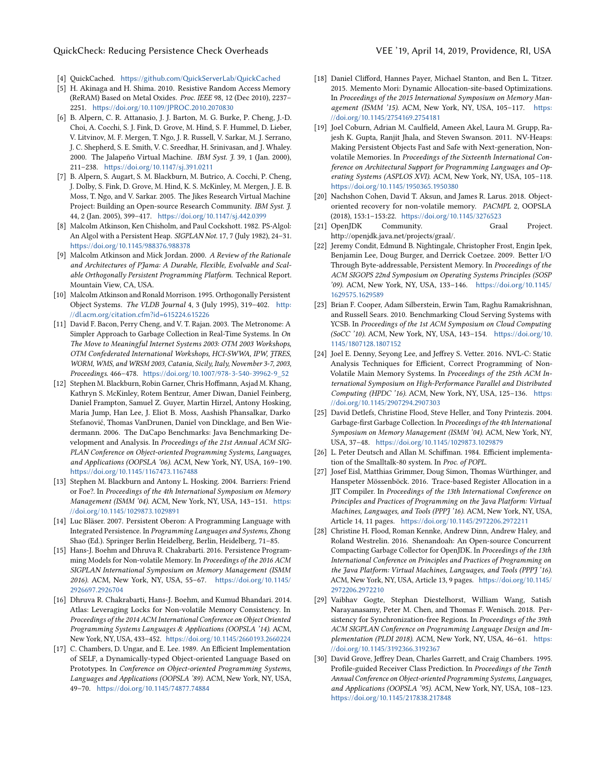- <span id="page-12-13"></span>[4] QuickCached. <https://github.com/QuickServerLab/QuickCached>
- <span id="page-12-0"></span>[5] H. Akinaga and H. Shima. 2010. Resistive Random Access Memory (ReRAM) Based on Metal Oxides. Proc. IEEE 98, 12 (Dec 2010), 2237– 2251. <https://doi.org/10.1109/JPROC.2010.2070830>
- <span id="page-12-25"></span>[6] B. Alpern, C. R. Attanasio, J. J. Barton, M. G. Burke, P. Cheng, J.-D. Choi, A. Cocchi, S. J. Fink, D. Grove, M. Hind, S. F. Hummel, D. Lieber, V. Litvinov, M. F. Mergen, T. Ngo, J. R. Russell, V. Sarkar, M. J. Serrano, J. C. Shepherd, S. E. Smith, V. C. Sreedhar, H. Srinivasan, and J. Whaley. 2000. The Jalapeño Virtual Machine. IBM Syst. J. 39, 1 (Jan. 2000), 211–238. <https://doi.org/10.1147/sj.391.0211>
- <span id="page-12-26"></span>[7] B. Alpern, S. Augart, S. M. Blackburn, M. Butrico, A. Cocchi, P. Cheng, J. Dolby, S. Fink, D. Grove, M. Hind, K. S. McKinley, M. Mergen, J. E. B. Moss, T. Ngo, and V. Sarkar. 2005. The Jikes Research Virtual Machine Project: Building an Open-source Research Community. IBM Syst. J. 44, 2 (Jan. 2005), 399–417. <https://doi.org/10.1147/sj.442.0399>
- <span id="page-12-17"></span>[8] Malcolm Atkinson, Ken Chisholm, and Paul Cockshott. 1982. PS-Algol: An Algol with a Persistent Heap. SIGPLAN Not. 17, 7 (July 1982), 24–31. <https://doi.org/10.1145/988376.988378>
- <span id="page-12-19"></span>[9] Malcolm Atkinson and Mick Jordan. 2000. A Review of the Rationale and Architectures of PJama: A Durable, Flexible, Evolvable and Scalable Orthogonally Persistent Programming Platform. Technical Report. Mountain View, CA, USA.
- <span id="page-12-20"></span>[10] Malcolm Atkinson and Ronald Morrison. 1995. Orthogonally Persistent Object Systems. The VLDB Journal 4, 3 (July 1995), 319–402. [http:](http://dl.acm.org/citation.cfm?id=615224.615226) [//dl.acm.org/citation.cfm?id=615224.615226](http://dl.acm.org/citation.cfm?id=615224.615226)
- <span id="page-12-21"></span>[11] David F. Bacon, Perry Cheng, and V. T. Rajan. 2003. The Metronome: A Simpler Approach to Garbage Collection in Real-Time Systems. In On The Move to Meaningful Internet Systems 2003: OTM 2003 Workshops, OTM Confederated International Workshops, HCI-SWWA, IPW, JTRES, WORM, WMS, and WRSM 2003, Catania, Sicily, Italy, November 3-7, 2003, Proceedings. 466–478. [https://doi.org/10.1007/978-3-540-39962-9\\_52](https://doi.org/10.1007/978-3-540-39962-9_52)
- <span id="page-12-12"></span>[12] Stephen M. Blackburn, Robin Garner, Chris Hoffmann, Asjad M. Khang, Kathryn S. McKinley, Rotem Bentzur, Amer Diwan, Daniel Feinberg, Daniel Frampton, Samuel Z. Guyer, Martin Hirzel, Antony Hosking, Maria Jump, Han Lee, J. Eliot B. Moss, Aashish Phansalkar, Darko Stefanović, Thomas VanDrunen, Daniel von Dincklage, and Ben Wiedermann. 2006. The DaCapo Benchmarks: Java Benchmarking Development and Analysis. In Proceedings of the 21st Annual ACM SIG-PLAN Conference on Object-oriented Programming Systems, Languages, and Applications (OOPSLA '06). ACM, New York, NY, USA, 169–190. <https://doi.org/10.1145/1167473.1167488>
- <span id="page-12-22"></span>[13] Stephen M. Blackburn and Antony L. Hosking. 2004. Barriers: Friend or Foe?. In Proceedings of the 4th International Symposium on Memory Management (ISMM '04). ACM, New York, NY, USA, 143–151. [https:](https://doi.org/10.1145/1029873.1029891) [//doi.org/10.1145/1029873.1029891](https://doi.org/10.1145/1029873.1029891)
- <span id="page-12-18"></span>[14] Luc Bläser. 2007. Persistent Oberon: A Programming Language with Integrated Persistence. In Programming Languages and Systems, Zhong Shao (Ed.). Springer Berlin Heidelberg, Berlin, Heidelberg, 71–85.
- <span id="page-12-2"></span>[15] Hans-J. Boehm and Dhruva R. Chakrabarti. 2016. Persistence Programming Models for Non-volatile Memory. In Proceedings of the 2016 ACM SIGPLAN International Symposium on Memory Management (ISMM 2016). ACM, New York, NY, USA, 55–67. [https://doi.org/10.1145/](https://doi.org/10.1145/2926697.2926704) [2926697.2926704](https://doi.org/10.1145/2926697.2926704)
- <span id="page-12-3"></span>[16] Dhruva R. Chakrabarti, Hans-J. Boehm, and Kumud Bhandari. 2014. Atlas: Leveraging Locks for Non-volatile Memory Consistency. In Proceedings of the 2014 ACM International Conference on Object Oriented Programming Systems Languages & Applications (OOPSLA '14). ACM, New York, NY, USA, 433–452. <https://doi.org/10.1145/2660193.2660224>
- <span id="page-12-8"></span>[17] C. Chambers, D. Ungar, and E. Lee. 1989. An Efficient Implementation of SELF, a Dynamically-typed Object-oriented Language Based on Prototypes. In Conference on Object-oriented Programming Systems, Languages and Applications (OOPSLA '89). ACM, New York, NY, USA, 49–70. <https://doi.org/10.1145/74877.74884>
- <span id="page-12-9"></span>[18] Daniel Clifford, Hannes Payer, Michael Stanton, and Ben L. Titzer. 2015. Memento Mori: Dynamic Allocation-site-based Optimizations. In Proceedings of the 2015 International Symposium on Memory Management (ISMM '15). ACM, New York, NY, USA, 105–117. [https:](https://doi.org/10.1145/2754169.2754181) [//doi.org/10.1145/2754169.2754181](https://doi.org/10.1145/2754169.2754181)
- <span id="page-12-1"></span>[19] Joel Coburn, Adrian M. Caulfield, Ameen Akel, Laura M. Grupp, Rajesh K. Gupta, Ranjit Jhala, and Steven Swanson. 2011. NV-Heaps: Making Persistent Objects Fast and Safe with Next-generation, Nonvolatile Memories. In Proceedings of the Sixteenth International Conference on Architectural Support for Programming Languages and Operating Systems (ASPLOS XVI). ACM, New York, NY, USA, 105–118. <https://doi.org/10.1145/1950365.1950380>
- <span id="page-12-4"></span>[20] Nachshon Cohen, David T. Aksun, and James R. Larus. 2018. Objectoriented recovery for non-volatile memory. PACMPL 2, OOPSLA (2018), 153:1–153:22. <https://doi.org/10.1145/3276523>
- <span id="page-12-15"></span>[21] OpenJDK Community. Graal Project. http://openjdk.java.net/projects/graal/.
- <span id="page-12-5"></span>[22] Jeremy Condit, Edmund B. Nightingale, Christopher Frost, Engin Ipek, Benjamin Lee, Doug Burger, and Derrick Coetzee. 2009. Better I/O Through Byte-addressable, Persistent Memory. In Proceedings of the ACM SIGOPS 22nd Symposium on Operating Systems Principles (SOSP '09). ACM, New York, NY, USA, 133–146. [https://doi.org/10.1145/](https://doi.org/10.1145/1629575.1629589) [1629575.1629589](https://doi.org/10.1145/1629575.1629589)
- <span id="page-12-14"></span>[23] Brian F. Cooper, Adam Silberstein, Erwin Tam, Raghu Ramakrishnan, and Russell Sears. 2010. Benchmarking Cloud Serving Systems with YCSB. In Proceedings of the 1st ACM Symposium on Cloud Computing (SoCC '10). ACM, New York, NY, USA, 143–154. [https://doi.org/10.](https://doi.org/10.1145/1807128.1807152) [1145/1807128.1807152](https://doi.org/10.1145/1807128.1807152)
- <span id="page-12-6"></span>[24] Joel E. Denny, Seyong Lee, and Jeffrey S. Vetter. 2016. NVL-C: Static Analysis Techniques for Efficient, Correct Programming of Non-Volatile Main Memory Systems. In Proceedings of the 25th ACM International Symposium on High-Performance Parallel and Distributed Computing (HPDC '16). ACM, New York, NY, USA, 125–136. [https:](https://doi.org/10.1145/2907294.2907303) [//doi.org/10.1145/2907294.2907303](https://doi.org/10.1145/2907294.2907303)
- <span id="page-12-23"></span>[25] David Detlefs, Christine Flood, Steve Heller, and Tony Printezis. 2004. Garbage-first Garbage Collection. In Proceedings of the 4th International Symposium on Memory Management (ISMM '04). ACM, New York, NY, USA, 37–48. <https://doi.org/10.1145/1029873.1029879>
- <span id="page-12-10"></span>[26] L. Peter Deutsch and Allan M. Schiffman. 1984. Efficient implementation of the Smalltalk-80 system. In Proc. of POPL.
- <span id="page-12-16"></span>[27] Josef Eisl, Matthias Grimmer, Doug Simon, Thomas Würthinger, and Hanspeter Mössenböck. 2016. Trace-based Register Allocation in a JIT Compiler. In Proceedings of the 13th International Conference on Principles and Practices of Programming on the Java Platform: Virtual Machines, Languages, and Tools (PPPJ '16). ACM, New York, NY, USA, Article 14, 11 pages. <https://doi.org/10.1145/2972206.2972211>
- <span id="page-12-24"></span>[28] Christine H. Flood, Roman Kennke, Andrew Dinn, Andrew Haley, and Roland Westrelin. 2016. Shenandoah: An Open-source Concurrent Compacting Garbage Collector for OpenJDK. In Proceedings of the 13th International Conference on Principles and Practices of Programming on the Java Platform: Virtual Machines, Languages, and Tools (PPPJ '16). ACM, New York, NY, USA, Article 13, 9 pages. [https://doi.org/10.1145/](https://doi.org/10.1145/2972206.2972210) [2972206.2972210](https://doi.org/10.1145/2972206.2972210)
- <span id="page-12-7"></span>[29] Vaibhav Gogte, Stephan Diestelhorst, William Wang, Satish Narayanasamy, Peter M. Chen, and Thomas F. Wenisch. 2018. Persistency for Synchronization-free Regions. In Proceedings of the 39th ACM SIGPLAN Conference on Programming Language Design and Implementation (PLDI 2018). ACM, New York, NY, USA, 46-61. [https:](https://doi.org/10.1145/3192366.3192367) [//doi.org/10.1145/3192366.3192367](https://doi.org/10.1145/3192366.3192367)
- <span id="page-12-11"></span>[30] David Grove, Jeffrey Dean, Charles Garrett, and Craig Chambers. 1995. Profile-guided Receiver Class Prediction. In Proceedings of the Tenth Annual Conference on Object-oriented Programming Systems, Languages, and Applications (OOPSLA '95). ACM, New York, NY, USA, 108–123. <https://doi.org/10.1145/217838.217848>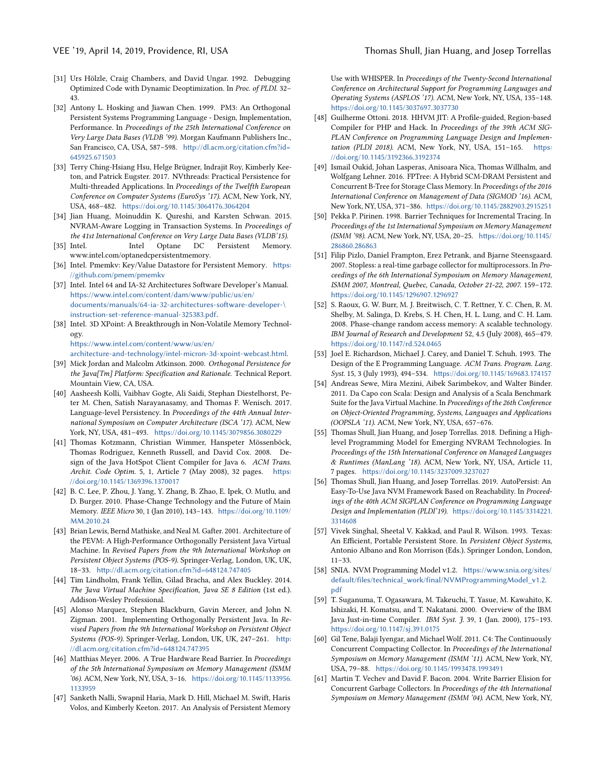- <span id="page-13-11"></span>[31] Urs Hölzle, Craig Chambers, and David Ungar. 1992. Debugging Optimized Code with Dynamic Deoptimization. In Proc. of PLDI. 32– 43.
- <span id="page-13-18"></span>[32] Antony L. Hosking and Jiawan Chen. 1999. PM3: An Orthogonal Persistent Systems Programming Language - Design, Implementation, Performance. In Proceedings of the 25th International Conference on Very Large Data Bases (VLDB '99). Morgan Kaufmann Publishers Inc., San Francisco, CA, USA, 587–598. [http://dl.acm.org/citation.cfm?id=](http://dl.acm.org/citation.cfm?id=645925.671503) [645925.671503](http://dl.acm.org/citation.cfm?id=645925.671503)
- <span id="page-13-4"></span>[33] Terry Ching-Hsiang Hsu, Helge Brügner, Indrajit Roy, Kimberly Keeton, and Patrick Eugster. 2017. NVthreads: Practical Persistence for Multi-threaded Applications. In Proceedings of the Twelfth European Conference on Computer Systems (EuroSys '17). ACM, New York, NY, USA, 468–482. <https://doi.org/10.1145/3064176.3064204>
- <span id="page-13-3"></span>[34] Jian Huang, Moinuddin K. Qureshi, and Karsten Schwan. 2015. NVRAM-Aware Logging in Transaction Systems. In Proceedings of the 41st International Conference on Very Large Data Bases (VLDB'15).
- <span id="page-13-9"></span>[35] Intel. Intel Optane DC Persistent Memory. www.intel.com/optanedcpersistentmemory.
- <span id="page-13-16"></span>[36] Intel. Pmemkv: Key/Value Datastore for Persistent Memory. [https:](https://github.com/pmem/pmemkv) [//github.com/pmem/pmemkv](https://github.com/pmem/pmemkv)
- <span id="page-13-13"></span>[37] Intel. Intel 64 and IA-32 Architectures Software Developer's Manual. [https://www.intel.com/content/dam/www/public/us/en/](https://www.intel.com/content/dam/www/public/us/en/documents/manuals/64-ia-32-architectures-software-developer-\instruction-set-reference-manual-325383.pdf) [documents/manuals/64-ia-32-architectures-software-developer-\](https://www.intel.com/content/dam/www/public/us/en/documents/manuals/64-ia-32-architectures-software-developer-\instruction-set-reference-manual-325383.pdf) [instruction-set-reference-manual-325383.pdf](https://www.intel.com/content/dam/www/public/us/en/documents/manuals/64-ia-32-architectures-software-developer-\instruction-set-reference-manual-325383.pdf).
- <span id="page-13-0"></span>[38] Intel. 3D XPoint: A Breakthrough in Non-Volatile Memory Technology.

[https://www.intel.com/content/www/us/en/](https://www.intel.com/content/www/us/en/architecture-and-technology/intel-micron-3d-xpoint-webcast.html) [architecture-and-technology/intel-micron-3d-xpoint-webcast.html](https://www.intel.com/content/www/us/en/architecture-and-technology/intel-micron-3d-xpoint-webcast.html).

- <span id="page-13-19"></span>[39] Mick Jordan and Malcolm Atkinson. 2000. Orthogonal Persistence for the Java[Tm] Platform: Specification and Rationale. Technical Report. Mountain View, CA, USA.
- <span id="page-13-5"></span>[40] Aasheesh Kolli, Vaibhav Gogte, Ali Saidi, Stephan Diestelhorst, Peter M. Chen, Satish Narayanasamy, and Thomas F. Wenisch. 2017. Language-level Persistency. In Proceedings of the 44th Annual International Symposium on Computer Architecture (ISCA '17). ACM, New York, NY, USA, 481–493. <https://doi.org/10.1145/3079856.3080229>
- <span id="page-13-29"></span>[41] Thomas Kotzmann, Christian Wimmer, Hanspeter Mössenböck, Thomas Rodriguez, Kenneth Russell, and David Cox. 2008. Design of the Java HotSpot Client Compiler for Java 6. ACM Trans. Archit. Code Optim. 5, 1, Article 7 (May 2008), 32 pages. [https:](https://doi.org/10.1145/1369396.1370017) [//doi.org/10.1145/1369396.1370017](https://doi.org/10.1145/1369396.1370017)
- <span id="page-13-1"></span>[42] B. C. Lee, P. Zhou, J. Yang, Y. Zhang, B. Zhao, E. Ipek, O. Mutlu, and D. Burger. 2010. Phase-Change Technology and the Future of Main Memory. IEEE Micro 30, 1 (Jan 2010), 143–143. [https://doi.org/10.1109/](https://doi.org/10.1109/MM.2010.24) [MM.2010.24](https://doi.org/10.1109/MM.2010.24)
- <span id="page-13-22"></span>[43] Brian Lewis, Bernd Mathiske, and Neal M. Gafter. 2001. Architecture of the PEVM: A High-Performance Orthogonally Persistent Java Virtual Machine. In Revised Papers from the 9th International Workshop on Persistent Object Systems (POS-9). Springer-Verlag, London, UK, UK, 18–33. <http://dl.acm.org/citation.cfm?id=648124.747405>
- <span id="page-13-10"></span>[44] Tim Lindholm, Frank Yellin, Gilad Bracha, and Alex Buckley. 2014. The Java Virtual Machine Specification, Java SE 8 Edition (1st ed.). Addison-Wesley Professional.
- <span id="page-13-23"></span>[45] Alonso Marquez, Stephen Blackburn, Gavin Mercer, and John N. Zigman. 2001. Implementing Orthogonally Persistent Java. In Revised Papers from the 9th International Workshop on Persistent Object Systems (POS-9). Springer-Verlag, London, UK, UK, 247–261. [http:](http://dl.acm.org/citation.cfm?id=648124.747395) [//dl.acm.org/citation.cfm?id=648124.747395](http://dl.acm.org/citation.cfm?id=648124.747395)
- <span id="page-13-24"></span>[46] Matthias Meyer. 2006. A True Hardware Read Barrier. In Proceedings of the 5th International Symposium on Memory Management (ISMM '06). ACM, New York, NY, USA, 3–16. [https://doi.org/10.1145/1133956.](https://doi.org/10.1145/1133956.1133959) [1133959](https://doi.org/10.1145/1133956.1133959)
- <span id="page-13-6"></span>[47] Sanketh Nalli, Swapnil Haria, Mark D. Hill, Michael M. Swift, Haris Volos, and Kimberly Keeton. 2017. An Analysis of Persistent Memory

Use with WHISPER. In Proceedings of the Twenty-Second International Conference on Architectural Support for Programming Languages and Operating Systems (ASPLOS '17). ACM, New York, NY, USA, 135–148. <https://doi.org/10.1145/3037697.3037730>

- <span id="page-13-12"></span>[48] Guilherme Ottoni. 2018. HHVM JIT: A Profile-guided, Region-based Compiler for PHP and Hack. In Proceedings of the 39th ACM SIG-PLAN Conference on Programming Language Design and Implementation (PLDI 2018). ACM, New York, NY, USA, 151–165. [https:](https://doi.org/10.1145/3192366.3192374) [//doi.org/10.1145/3192366.3192374](https://doi.org/10.1145/3192366.3192374)
- <span id="page-13-17"></span>[49] Ismail Oukid, Johan Lasperas, Anisoara Nica, Thomas Willhalm, and Wolfgang Lehner. 2016. FPTree: A Hybrid SCM-DRAM Persistent and Concurrent B-Tree for Storage Class Memory. In Proceedings of the 2016 International Conference on Management of Data (SIGMOD '16). ACM, New York, NY, USA, 371–386. <https://doi.org/10.1145/2882903.2915251>
- <span id="page-13-25"></span>[50] Pekka P. Pirinen. 1998. Barrier Techniques for Incremental Tracing. In Proceedings of the 1st International Symposium on Memory Management (ISMM '98). ACM, New York, NY, USA, 20–25. [https://doi.org/10.1145/](https://doi.org/10.1145/286860.286863) [286860.286863](https://doi.org/10.1145/286860.286863)
- <span id="page-13-26"></span>[51] Filip Pizlo, Daniel Frampton, Erez Petrank, and Bjarne Steensgaard. 2007. Stopless: a real-time garbage collector for multiprocessors. In Proceedings of the 6th International Symposium on Memory Management, ISMM 2007, Montreal, Quebec, Canada, October 21-22, 2007. 159–172. <https://doi.org/10.1145/1296907.1296927>
- <span id="page-13-2"></span>[52] S. Raoux, G. W. Burr, M. J. Breitwisch, C. T. Rettner, Y. C. Chen, R. M. Shelby, M. Salinga, D. Krebs, S. H. Chen, H. L. Lung, and C. H. Lam. 2008. Phase-change random access memory: A scalable technology. IBM Journal of Research and Development 52, 4.5 (July 2008), 465–479. <https://doi.org/10.1147/rd.524.0465>
- <span id="page-13-20"></span>[53] Joel E. Richardson, Michael J. Carey, and Daniel T. Schuh. 1993. The Design of the E Programming Language. ACM Trans. Program. Lang. Syst. 15, 3 (July 1993), 494–534. <https://doi.org/10.1145/169683.174157>
- <span id="page-13-15"></span>[54] Andreas Sewe, Mira Mezini, Aibek Sarimbekov, and Walter Binder. 2011. Da Capo con Scala: Design and Analysis of a Scala Benchmark Suite for the Java Virtual Machine. In Proceedings of the 26th Conference on Object-Oriented Programming, Systems, Languages and Applications (OOPSLA '11). ACM, New York, NY, USA, 657–676.
- <span id="page-13-7"></span>[55] Thomas Shull, Jian Huang, and Josep Torrellas. 2018. Defining a Highlevel Programming Model for Emerging NVRAM Technologies. In Proceedings of the 15th International Conference on Managed Languages & Runtimes (ManLang '18). ACM, New York, NY, USA, Article 11, 7 pages. <https://doi.org/10.1145/3237009.3237027>
- <span id="page-13-8"></span>[56] Thomas Shull, Jian Huang, and Josep Torrellas. 2019. AutoPersist: An Easy-To-Use Java NVM Framework Based on Reachability. In Proceedings of the 40th ACM SIGPLAN Conference on Programming Language Design and Implementation (PLDI'19). [https://doi.org/10.1145/3314221.](https://doi.org/10.1145/3314221.3314608) [3314608](https://doi.org/10.1145/3314221.3314608)
- <span id="page-13-21"></span>[57] Vivek Singhal, Sheetal V. Kakkad, and Paul R. Wilson. 1993. Texas: An Efficient, Portable Persistent Store. In Persistent Object Systems, Antonio Albano and Ron Morrison (Eds.). Springer London, London, 11–33.
- <span id="page-13-14"></span>[58] SNIA. NVM Programming Model v1.2. [https://www.snia.org/sites/](https://www.snia.org/sites/default/files/technical_work/final/NVMProgrammingModel_v1.2.pdf) [default/files/technical\\_work/final/NVMProgrammingModel\\_v1.2.](https://www.snia.org/sites/default/files/technical_work/final/NVMProgrammingModel_v1.2.pdf) [pdf](https://www.snia.org/sites/default/files/technical_work/final/NVMProgrammingModel_v1.2.pdf)
- <span id="page-13-30"></span>[59] T. Suganuma, T. Ogasawara, M. Takeuchi, T. Yasue, M. Kawahito, K. Ishizaki, H. Komatsu, and T. Nakatani. 2000. Overview of the IBM Java Just-in-time Compiler. IBM Syst. J. 39, 1 (Jan. 2000), 175–193. <https://doi.org/10.1147/sj.391.0175>
- <span id="page-13-27"></span>[60] Gil Tene, Balaji Iyengar, and Michael Wolf. 2011. C4: The Continuously Concurrent Compacting Collector. In Proceedings of the International Symposium on Memory Management (ISMM '11). ACM, New York, NY, USA, 79–88. <https://doi.org/10.1145/1993478.1993491>
- <span id="page-13-28"></span>[61] Martin T. Vechev and David F. Bacon. 2004. Write Barrier Elision for Concurrent Garbage Collectors. In Proceedings of the 4th International Symposium on Memory Management (ISMM '04). ACM, New York, NY,